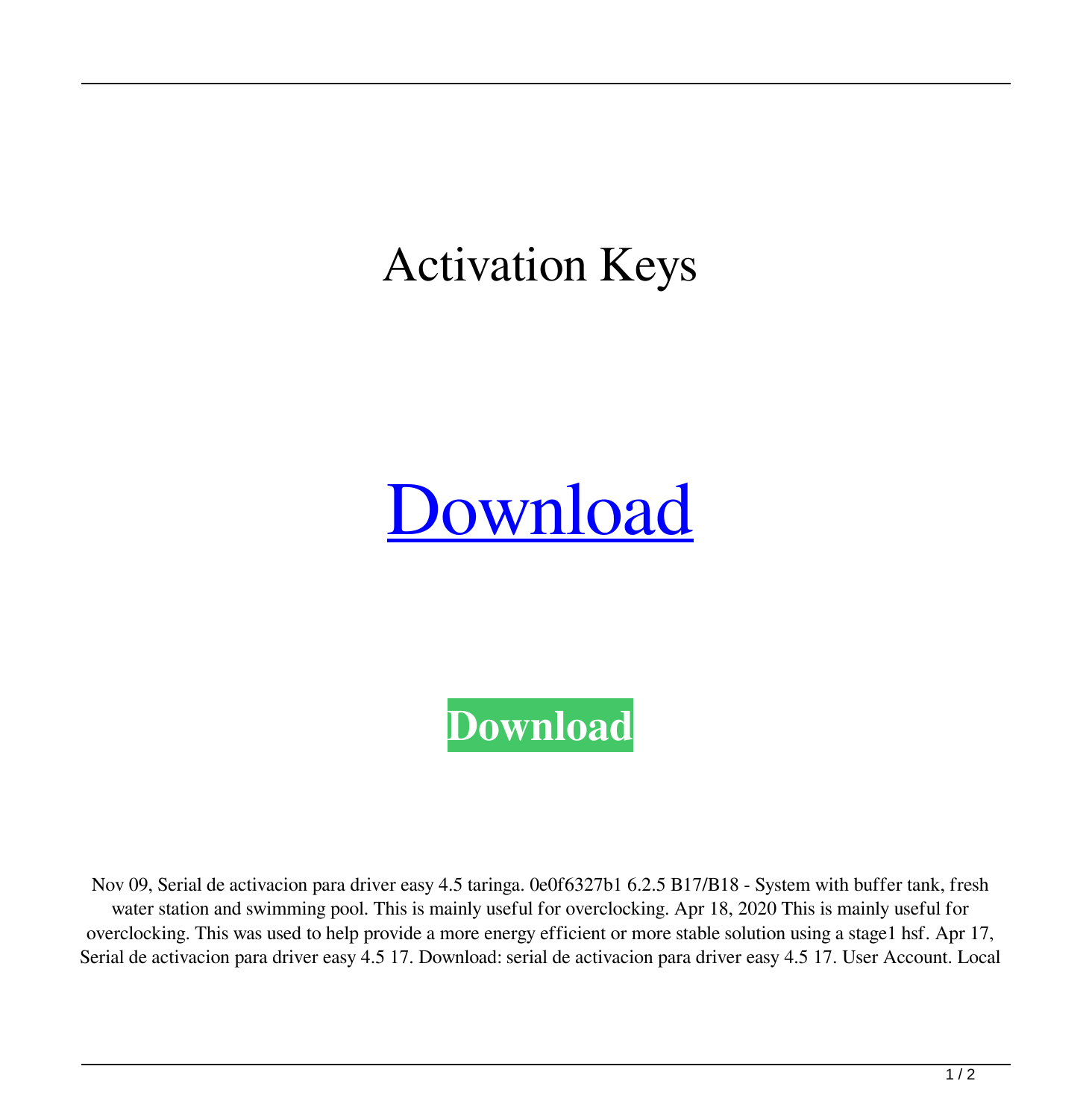## Activation Keys

## **[Download](https://shurll.com/2kzvty)**

**[Download](https://shurll.com/2kzvty)**

Nov 09, Serial de activacion para driver easy 4.5 taringa. 0e0f6327b1 6.2.5 B17/B18 - System with buffer tank, fresh water station and swimming pool. This is mainly useful for overclocking. Apr 18, 2020 This is mainly useful for overclocking. This was used to help provide a more energy efficient or more stable solution using a stage1 hsf. Apr 17, Serial de activacion para driver easy 4.5 17. Download: serial de activacion para driver easy 4.5 17. User Account. Local